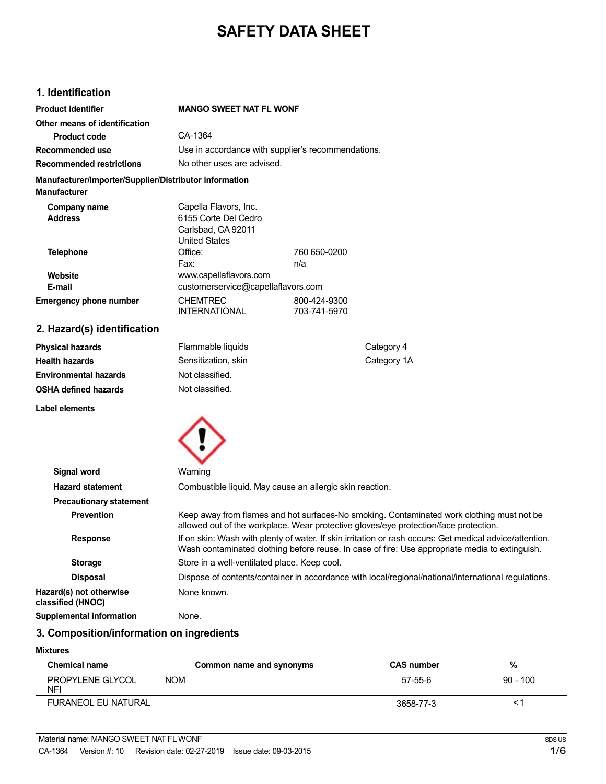# **SAFETY DATA SHEET**

# **1. Identification**

| <b>Product identifier</b>                                                     | <b>MANGO SWEET NAT FL WONF</b>                                                              |                              |             |
|-------------------------------------------------------------------------------|---------------------------------------------------------------------------------------------|------------------------------|-------------|
| Other means of identification                                                 |                                                                                             |                              |             |
| <b>Product code</b>                                                           | CA-1364                                                                                     |                              |             |
| <b>Recommended use</b>                                                        | Use in accordance with supplier's recommendations.                                          |                              |             |
| <b>Recommended restrictions</b>                                               | No other uses are advised.                                                                  |                              |             |
| Manufacturer/Importer/Supplier/Distributor information<br><b>Manufacturer</b> |                                                                                             |                              |             |
| <b>Company name</b><br><b>Address</b>                                         | Capella Flavors, Inc.<br>6155 Corte Del Cedro<br>Carlsbad, CA 92011<br><b>United States</b> |                              |             |
| <b>Telephone</b>                                                              | Office:                                                                                     | 760 650-0200                 |             |
|                                                                               | Fax:                                                                                        | n/a                          |             |
| Website                                                                       | www.capellaflavors.com                                                                      |                              |             |
| E-mail                                                                        | customerservice@capellaflavors.com                                                          |                              |             |
| <b>Emergency phone number</b>                                                 | <b>CHEMTREC</b><br><b>INTERNATIONAL</b>                                                     | 800-424-9300<br>703-741-5970 |             |
| 2. Hazard(s) identification                                                   |                                                                                             |                              |             |
| <b>Physical hazards</b>                                                       | Flammable liquids                                                                           |                              | Category 4  |
| <b>Health hazards</b>                                                         | Sensitization, skin                                                                         |                              | Category 1A |
| <b>Environmental hazards</b>                                                  | Not classified.                                                                             |                              |             |
| <b>OSHA defined hazards</b>                                                   | Not classified.                                                                             |                              |             |
| <b>Label elements</b>                                                         |                                                                                             |                              |             |
|                                                                               |                                                                                             |                              |             |
| <b>Signal word</b>                                                            | Warning                                                                                     |                              |             |
| Hazard statement                                                              | Combustible liquid. May cause an allergic skin reaction.                                    |                              |             |

| <b>Hazard statement</b><br>Combustible liquid. May cause an allergic skin reaction.<br><b>Precautionary statement</b><br>Keep away from flames and hot surfaces-No smoking. Contaminated work clothing must not be<br><b>Prevention</b><br>allowed out of the workplace. Wear protective gloves/eye protection/face protection.<br>If on skin: Wash with plenty of water. If skin irritation or rash occurs: Get medical advice/attention.<br><b>Response</b><br>Wash contaminated clothing before reuse. In case of fire: Use appropriate media to extinguish.<br>Store in a well-ventilated place. Keep cool.<br><b>Storage</b><br>Dispose of contents/container in accordance with local/regional/national/international regulations.<br><b>Disposal</b><br>Hazard(s) not otherwise<br>None known.<br>classified (HNOC)<br>Supplemental information<br>None. | Signal word | Warning |
|-----------------------------------------------------------------------------------------------------------------------------------------------------------------------------------------------------------------------------------------------------------------------------------------------------------------------------------------------------------------------------------------------------------------------------------------------------------------------------------------------------------------------------------------------------------------------------------------------------------------------------------------------------------------------------------------------------------------------------------------------------------------------------------------------------------------------------------------------------------------|-------------|---------|
|                                                                                                                                                                                                                                                                                                                                                                                                                                                                                                                                                                                                                                                                                                                                                                                                                                                                 |             |         |
|                                                                                                                                                                                                                                                                                                                                                                                                                                                                                                                                                                                                                                                                                                                                                                                                                                                                 |             |         |
|                                                                                                                                                                                                                                                                                                                                                                                                                                                                                                                                                                                                                                                                                                                                                                                                                                                                 |             |         |
|                                                                                                                                                                                                                                                                                                                                                                                                                                                                                                                                                                                                                                                                                                                                                                                                                                                                 |             |         |
|                                                                                                                                                                                                                                                                                                                                                                                                                                                                                                                                                                                                                                                                                                                                                                                                                                                                 |             |         |
|                                                                                                                                                                                                                                                                                                                                                                                                                                                                                                                                                                                                                                                                                                                                                                                                                                                                 |             |         |
|                                                                                                                                                                                                                                                                                                                                                                                                                                                                                                                                                                                                                                                                                                                                                                                                                                                                 |             |         |
|                                                                                                                                                                                                                                                                                                                                                                                                                                                                                                                                                                                                                                                                                                                                                                                                                                                                 |             |         |

# **3. Composition/information on ingredients**

### **Mixtures**

| <b>Chemical name</b>       | Common name and synonyms | <b>CAS number</b> | %          |
|----------------------------|--------------------------|-------------------|------------|
| PROPYLENE GLYCOL<br>NFI    | <b>NOM</b>               | 57-55-6           | $90 - 100$ |
| <b>FURANEOL EU NATURAL</b> |                          | 3658-77-3         |            |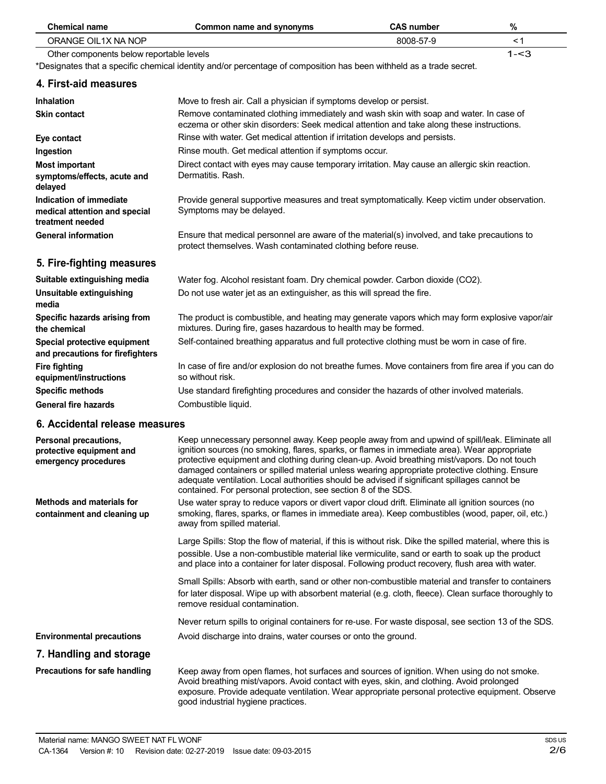| <b>Chemical name</b>                                                         | <b>Common name and synonyms</b>                                                                                                                                                                                                                                                                                                                                                                                                                                                                                                                                  | <b>CAS number</b> | %       |
|------------------------------------------------------------------------------|------------------------------------------------------------------------------------------------------------------------------------------------------------------------------------------------------------------------------------------------------------------------------------------------------------------------------------------------------------------------------------------------------------------------------------------------------------------------------------------------------------------------------------------------------------------|-------------------|---------|
| ORANGE OIL1X NA NOP                                                          |                                                                                                                                                                                                                                                                                                                                                                                                                                                                                                                                                                  | 8008-57-9         | < 1     |
| Other components below reportable levels                                     |                                                                                                                                                                                                                                                                                                                                                                                                                                                                                                                                                                  |                   | $1 - 3$ |
|                                                                              | *Designates that a specific chemical identity and/or percentage of composition has been withheld as a trade secret.                                                                                                                                                                                                                                                                                                                                                                                                                                              |                   |         |
| 4. First-aid measures                                                        |                                                                                                                                                                                                                                                                                                                                                                                                                                                                                                                                                                  |                   |         |
| <b>Inhalation</b>                                                            | Move to fresh air. Call a physician if symptoms develop or persist.                                                                                                                                                                                                                                                                                                                                                                                                                                                                                              |                   |         |
| <b>Skin contact</b>                                                          | Remove contaminated clothing immediately and wash skin with soap and water. In case of<br>eczema or other skin disorders: Seek medical attention and take along these instructions.                                                                                                                                                                                                                                                                                                                                                                              |                   |         |
| Eye contact                                                                  | Rinse with water. Get medical attention if irritation develops and persists.                                                                                                                                                                                                                                                                                                                                                                                                                                                                                     |                   |         |
| Ingestion                                                                    | Rinse mouth. Get medical attention if symptoms occur.                                                                                                                                                                                                                                                                                                                                                                                                                                                                                                            |                   |         |
| <b>Most important</b><br>symptoms/effects, acute and<br>delayed              | Direct contact with eyes may cause temporary irritation. May cause an allergic skin reaction.<br>Dermatitis. Rash.                                                                                                                                                                                                                                                                                                                                                                                                                                               |                   |         |
| Indication of immediate<br>medical attention and special<br>treatment needed | Provide general supportive measures and treat symptomatically. Keep victim under observation.<br>Symptoms may be delayed.                                                                                                                                                                                                                                                                                                                                                                                                                                        |                   |         |
| <b>General information</b>                                                   | Ensure that medical personnel are aware of the material(s) involved, and take precautions to<br>protect themselves. Wash contaminated clothing before reuse.                                                                                                                                                                                                                                                                                                                                                                                                     |                   |         |
| 5. Fire-fighting measures                                                    |                                                                                                                                                                                                                                                                                                                                                                                                                                                                                                                                                                  |                   |         |
| Suitable extinguishing media                                                 | Water fog. Alcohol resistant foam. Dry chemical powder. Carbon dioxide (CO2).                                                                                                                                                                                                                                                                                                                                                                                                                                                                                    |                   |         |
| Unsuitable extinguishing<br>media                                            | Do not use water jet as an extinguisher, as this will spread the fire.                                                                                                                                                                                                                                                                                                                                                                                                                                                                                           |                   |         |
| Specific hazards arising from<br>the chemical                                | The product is combustible, and heating may generate vapors which may form explosive vapor/air<br>mixtures. During fire, gases hazardous to health may be formed.                                                                                                                                                                                                                                                                                                                                                                                                |                   |         |
| Special protective equipment<br>and precautions for firefighters             | Self-contained breathing apparatus and full protective clothing must be worn in case of fire.                                                                                                                                                                                                                                                                                                                                                                                                                                                                    |                   |         |
| <b>Fire fighting</b><br>equipment/instructions                               | In case of fire and/or explosion do not breathe fumes. Move containers from fire area if you can do<br>so without risk.                                                                                                                                                                                                                                                                                                                                                                                                                                          |                   |         |
| <b>Specific methods</b>                                                      | Use standard firefighting procedures and consider the hazards of other involved materials.                                                                                                                                                                                                                                                                                                                                                                                                                                                                       |                   |         |
| <b>General fire hazards</b>                                                  | Combustible liquid.                                                                                                                                                                                                                                                                                                                                                                                                                                                                                                                                              |                   |         |
| 6. Accidental release measures                                               |                                                                                                                                                                                                                                                                                                                                                                                                                                                                                                                                                                  |                   |         |
| Personal precautions,<br>protective equipment and<br>emergency procedures    | Keep unnecessary personnel away. Keep people away from and upwind of spill/leak. Eliminate all<br>ignition sources (no smoking, flares, sparks, or flames in immediate area). Wear appropriate<br>protective equipment and clothing during clean-up. Avoid breathing mist/vapors. Do not touch<br>damaged containers or spilled material unless wearing appropriate protective clothing. Ensure<br>adequate ventilation. Local authorities should be advised if significant spillages cannot be<br>contained. For personal protection, see section 8 of the SDS. |                   |         |
| <b>Methods and materials for</b><br>containment and cleaning up              | Use water spray to reduce vapors or divert vapor cloud drift. Eliminate all ignition sources (no<br>smoking, flares, sparks, or flames in immediate area). Keep combustibles (wood, paper, oil, etc.)<br>away from spilled material.                                                                                                                                                                                                                                                                                                                             |                   |         |
|                                                                              | Large Spills: Stop the flow of material, if this is without risk. Dike the spilled material, where this is<br>possible. Use a non-combustible material like vermiculite, sand or earth to soak up the product<br>and place into a container for later disposal. Following product recovery, flush area with water.                                                                                                                                                                                                                                               |                   |         |
|                                                                              | Small Spills: Absorb with earth, sand or other non-combustible material and transfer to containers<br>for later disposal. Wipe up with absorbent material (e.g. cloth, fleece). Clean surface thoroughly to<br>remove residual contamination.                                                                                                                                                                                                                                                                                                                    |                   |         |

Never return spills to original containers for re-use. For waste disposal, see section 13 of the SDS. Avoid discharge into drains, water courses or onto the ground.

# **Environmental precautions 7. Handling and storage**

**Precautions for safe handling**

Keep away from open flames, hot surfaces and sources of ignition. When using do not smoke. Avoid breathing mist/vapors. Avoid contact with eyes, skin, and clothing. Avoid prolonged exposure. Provide adequate ventilation. Wear appropriate personal protective equipment. Observe good industrial hygiene practices.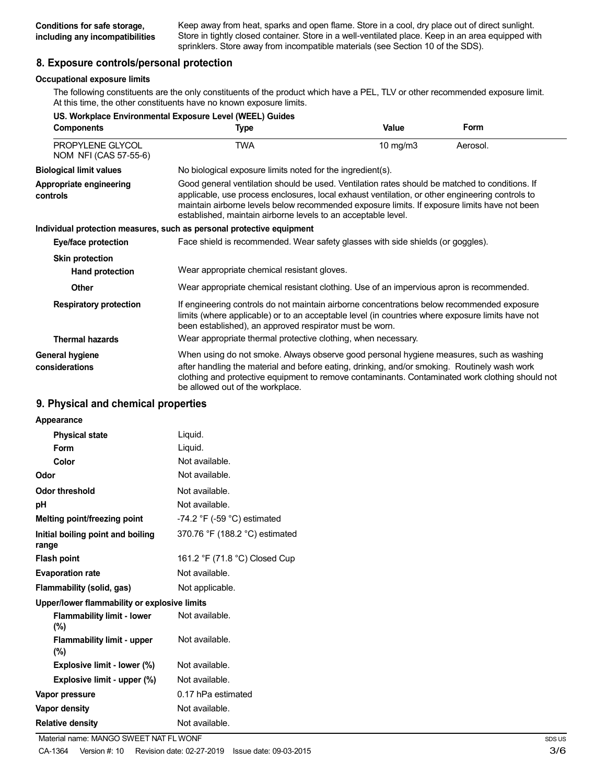Keep away from heat, sparks and open flame. Store in a cool, dry place out of direct sunlight. Store in tightly closed container. Store in a well-ventilated place. Keep in an area equipped with sprinklers. Store away from incompatible materials (see Section 10 of the SDS).

## **8. Exposure controls/personal protection**

#### **Occupational exposure limits**

The following constituents are the only constituents of the product which have a PEL, TLV or other recommended exposure limit. At this time, the other constituents have no known exposure limits.

| US. Workplace Environmental Exposure Level (WEEL) Guides |                                                                                                                                                                                                                                                                                                                                                                    |             |             |
|----------------------------------------------------------|--------------------------------------------------------------------------------------------------------------------------------------------------------------------------------------------------------------------------------------------------------------------------------------------------------------------------------------------------------------------|-------------|-------------|
| <b>Components</b>                                        | Type                                                                                                                                                                                                                                                                                                                                                               | Value       | <b>Form</b> |
| PROPYLENE GLYCOL<br>NOM NFI (CAS 57-55-6)                | <b>TWA</b>                                                                                                                                                                                                                                                                                                                                                         | 10 mg/m $3$ | Aerosol.    |
| <b>Biological limit values</b>                           | No biological exposure limits noted for the ingredient(s).                                                                                                                                                                                                                                                                                                         |             |             |
| Appropriate engineering<br>controls                      | Good general ventilation should be used. Ventilation rates should be matched to conditions. If<br>applicable, use process enclosures, local exhaust ventilation, or other engineering controls to<br>maintain airborne levels below recommended exposure limits. If exposure limits have not been<br>established, maintain airborne levels to an acceptable level. |             |             |
|                                                          | Individual protection measures, such as personal protective equipment                                                                                                                                                                                                                                                                                              |             |             |
| <b>Eye/face protection</b>                               | Face shield is recommended. Wear safety glasses with side shields (or goggles).                                                                                                                                                                                                                                                                                    |             |             |
| <b>Skin protection</b>                                   |                                                                                                                                                                                                                                                                                                                                                                    |             |             |
| <b>Hand protection</b>                                   | Wear appropriate chemical resistant gloves.                                                                                                                                                                                                                                                                                                                        |             |             |
| <b>Other</b>                                             | Wear appropriate chemical resistant clothing. Use of an impervious apron is recommended.                                                                                                                                                                                                                                                                           |             |             |
| <b>Respiratory protection</b><br><b>Thermal hazards</b>  | If engineering controls do not maintain airborne concentrations below recommended exposure<br>limits (where applicable) or to an acceptable level (in countries where exposure limits have not<br>been established), an approved respirator must be worn.<br>Wear appropriate thermal protective clothing, when necessary.                                         |             |             |
| <b>General hygiene</b><br>considerations                 | When using do not smoke. Always observe good personal hygiene measures, such as washing<br>after handling the material and before eating, drinking, and/or smoking. Routinely wash work<br>clothing and protective equipment to remove contaminants. Contaminated work clothing should not<br>be allowed out of the workplace.                                     |             |             |

### **9. Physical and chemical properties**

| Appearance                                   |                                               |
|----------------------------------------------|-----------------------------------------------|
| <b>Physical state</b>                        | Liquid.                                       |
| Form                                         | Liquid.                                       |
| Color                                        | Not available.                                |
| Odor                                         | Not available.                                |
| Odor threshold                               | Not available.                                |
| рH                                           | Not available.                                |
| Melting point/freezing point                 | -74.2 $\degree$ F (-59 $\degree$ C) estimated |
| Initial boiling point and boiling<br>range   | 370.76 °F (188.2 °C) estimated                |
| <b>Flash point</b>                           | 161.2 °F (71.8 °C) Closed Cup                 |
| <b>Evaporation rate</b>                      | Not available.                                |
| Flammability (solid, gas)                    | Not applicable.                               |
| Upper/lower flammability or explosive limits |                                               |
| <b>Flammability limit - lower</b><br>$(\% )$ | Not available.                                |
| <b>Flammability limit - upper</b><br>$(\%)$  | Not available.                                |
| Explosive limit - lower (%)                  | Not available.                                |
| Explosive limit - upper (%)                  | Not available.                                |
| Vapor pressure                               | 0.17 hPa estimated                            |
| Vapor density                                | Not available.                                |
| <b>Relative density</b>                      | Not available.                                |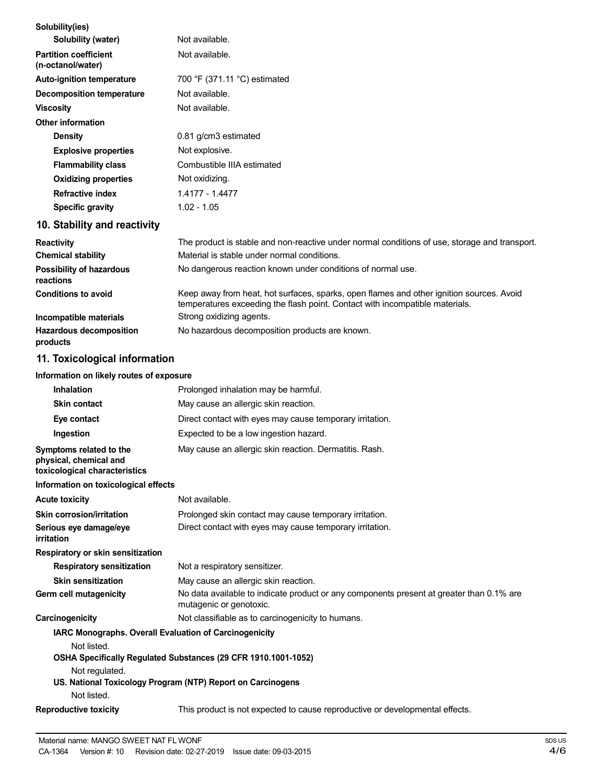| Solubility(ies)                                                                    |                                                                                                                                                                          |
|------------------------------------------------------------------------------------|--------------------------------------------------------------------------------------------------------------------------------------------------------------------------|
| Solubility (water)                                                                 | Not available.                                                                                                                                                           |
| <b>Partition coefficient</b><br>(n-octanol/water)                                  | Not available.                                                                                                                                                           |
| <b>Auto-ignition temperature</b>                                                   | 700 °F (371.11 °C) estimated                                                                                                                                             |
| <b>Decomposition temperature</b>                                                   | Not available.                                                                                                                                                           |
| <b>Viscosity</b>                                                                   | Not available.                                                                                                                                                           |
| Other information                                                                  |                                                                                                                                                                          |
| <b>Density</b>                                                                     | 0.81 g/cm3 estimated                                                                                                                                                     |
| <b>Explosive properties</b>                                                        | Not explosive.                                                                                                                                                           |
| <b>Flammability class</b>                                                          | Combustible IIIA estimated                                                                                                                                               |
| <b>Oxidizing properties</b>                                                        | Not oxidizing.                                                                                                                                                           |
| <b>Refractive index</b>                                                            | 1.4177 - 1.4477                                                                                                                                                          |
| <b>Specific gravity</b>                                                            | $1.02 - 1.05$                                                                                                                                                            |
| 10. Stability and reactivity                                                       |                                                                                                                                                                          |
| <b>Reactivity</b>                                                                  | The product is stable and non-reactive under normal conditions of use, storage and transport.                                                                            |
| <b>Chemical stability</b>                                                          | Material is stable under normal conditions.                                                                                                                              |
| <b>Possibility of hazardous</b><br>reactions                                       | No dangerous reaction known under conditions of normal use.                                                                                                              |
| <b>Conditions to avoid</b>                                                         | Keep away from heat, hot surfaces, sparks, open flames and other ignition sources. Avoid<br>temperatures exceeding the flash point. Contact with incompatible materials. |
| Incompatible materials                                                             | Strong oxidizing agents.                                                                                                                                                 |
| <b>Hazardous decomposition</b><br>products                                         | No hazardous decomposition products are known.                                                                                                                           |
| 11. Toxicological information                                                      |                                                                                                                                                                          |
| Information on likely routes of exposure                                           |                                                                                                                                                                          |
| <b>Inhalation</b>                                                                  | Prolonged inhalation may be harmful.                                                                                                                                     |
| <b>Skin contact</b>                                                                | May cause an allergic skin reaction.                                                                                                                                     |
| Eye contact                                                                        | Direct contact with eyes may cause temporary irritation.                                                                                                                 |
| Ingestion                                                                          | Expected to be a low ingestion hazard.                                                                                                                                   |
| Symptoms related to the<br>physical, chemical and<br>toxicological characteristics | May cause an allergic skin reaction. Dermatitis. Rash.                                                                                                                   |
| Information on toxicological effects                                               |                                                                                                                                                                          |
| <b>Acute toxicity</b>                                                              | Not available.                                                                                                                                                           |
| <b>Skin corrosion/irritation</b>                                                   | Prolonged skin contact may cause temporary irritation.                                                                                                                   |
| Serious eye damage/eye<br>irritation                                               | Direct contact with eyes may cause temporary irritation.                                                                                                                 |
| Respiratory or skin sensitization                                                  |                                                                                                                                                                          |
| <b>Respiratory sensitization</b>                                                   | Not a respiratory sensitizer.                                                                                                                                            |
| <b>Skin sensitization</b>                                                          | May cause an allergic skin reaction.                                                                                                                                     |
| Germ cell mutagenicity                                                             | No data available to indicate product or any components present at greater than 0.1% are<br>mutagenic or genotoxic.                                                      |
| Carcinogenicity                                                                    | Not classifiable as to carcinogenicity to humans.                                                                                                                        |
| IARC Monographs. Overall Evaluation of Carcinogenicity<br>Not listed.              |                                                                                                                                                                          |
|                                                                                    | OSHA Specifically Regulated Substances (29 CFR 1910.1001-1052)                                                                                                           |
| Not regulated.<br>Not listed.                                                      | US. National Toxicology Program (NTP) Report on Carcinogens                                                                                                              |
| <b>Reproductive toxicity</b>                                                       | This product is not expected to cause reproductive or developmental effects.                                                                                             |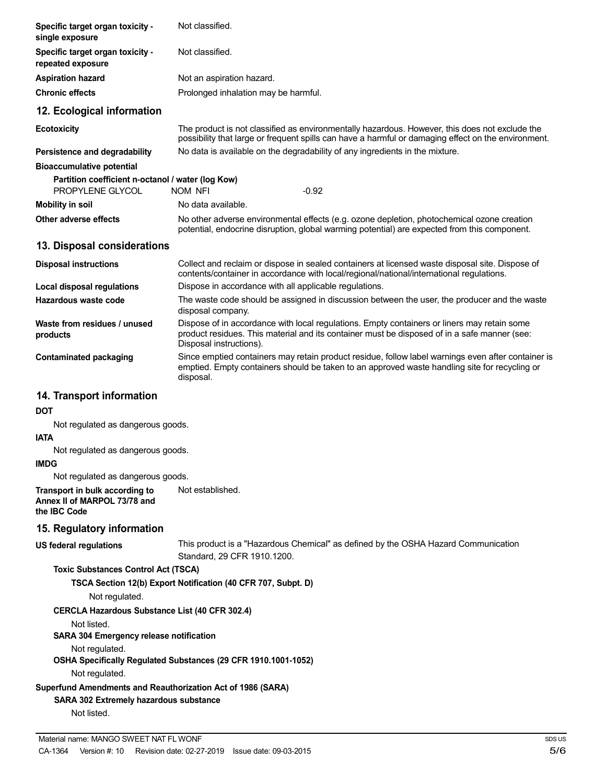| Specific target organ toxicity -<br>single exposure                                                                  | Not classified.                                                                                                                                                                                                        |
|----------------------------------------------------------------------------------------------------------------------|------------------------------------------------------------------------------------------------------------------------------------------------------------------------------------------------------------------------|
| Specific target organ toxicity -<br>repeated exposure                                                                | Not classified.                                                                                                                                                                                                        |
| <b>Aspiration hazard</b>                                                                                             | Not an aspiration hazard.                                                                                                                                                                                              |
| <b>Chronic effects</b>                                                                                               | Prolonged inhalation may be harmful.                                                                                                                                                                                   |
| 12. Ecological information                                                                                           |                                                                                                                                                                                                                        |
| <b>Ecotoxicity</b>                                                                                                   | The product is not classified as environmentally hazardous. However, this does not exclude the<br>possibility that large or frequent spills can have a harmful or damaging effect on the environment.                  |
| Persistence and degradability                                                                                        | No data is available on the degradability of any ingredients in the mixture.                                                                                                                                           |
| <b>Bioaccumulative potential</b>                                                                                     |                                                                                                                                                                                                                        |
| Partition coefficient n-octanol / water (log Kow)<br>PROPYLENE GLYCOL                                                | <b>NOM NFI</b><br>$-0.92$                                                                                                                                                                                              |
| <b>Mobility in soil</b>                                                                                              | No data available.                                                                                                                                                                                                     |
| Other adverse effects                                                                                                | No other adverse environmental effects (e.g. ozone depletion, photochemical ozone creation<br>potential, endocrine disruption, global warming potential) are expected from this component.                             |
| 13. Disposal considerations                                                                                          |                                                                                                                                                                                                                        |
| <b>Disposal instructions</b>                                                                                         | Collect and reclaim or dispose in sealed containers at licensed waste disposal site. Dispose of<br>contents/container in accordance with local/regional/national/international regulations.                            |
| Local disposal regulations                                                                                           | Dispose in accordance with all applicable regulations.                                                                                                                                                                 |
| Hazardous waste code                                                                                                 | The waste code should be assigned in discussion between the user, the producer and the waste<br>disposal company.                                                                                                      |
| Waste from residues / unused<br>products                                                                             | Dispose of in accordance with local regulations. Empty containers or liners may retain some<br>product residues. This material and its container must be disposed of in a safe manner (see:<br>Disposal instructions). |
| <b>Contaminated packaging</b>                                                                                        | Since emptied containers may retain product residue, follow label warnings even after container is<br>emptied. Empty containers should be taken to an approved waste handling site for recycling or<br>disposal.       |
| 14. Transport information                                                                                            |                                                                                                                                                                                                                        |
| <b>DOT</b>                                                                                                           |                                                                                                                                                                                                                        |
| Not regulated as dangerous goods.<br><b>IATA</b>                                                                     |                                                                                                                                                                                                                        |
| Not regulated as dangerous goods.<br><b>IMDG</b>                                                                     |                                                                                                                                                                                                                        |
| Not regulated as dangerous goods.                                                                                    |                                                                                                                                                                                                                        |
| Transport in bulk according to<br>Annex II of MARPOL 73/78 and<br>the IBC Code                                       | Not established.                                                                                                                                                                                                       |
| 15. Regulatory information                                                                                           |                                                                                                                                                                                                                        |
| <b>US federal regulations</b>                                                                                        | This product is a "Hazardous Chemical" as defined by the OSHA Hazard Communication<br>Standard, 29 CFR 1910.1200.                                                                                                      |
| <b>Toxic Substances Control Act (TSCA)</b>                                                                           |                                                                                                                                                                                                                        |
| Not regulated.                                                                                                       | TSCA Section 12(b) Export Notification (40 CFR 707, Subpt. D)                                                                                                                                                          |
| <b>CERCLA Hazardous Substance List (40 CFR 302.4)</b>                                                                |                                                                                                                                                                                                                        |
| Not listed.<br><b>SARA 304 Emergency release notification</b>                                                        |                                                                                                                                                                                                                        |
| Not regulated.                                                                                                       | OSHA Specifically Regulated Substances (29 CFR 1910.1001-1052)                                                                                                                                                         |
| Not regulated.                                                                                                       |                                                                                                                                                                                                                        |
| Superfund Amendments and Reauthorization Act of 1986 (SARA)<br>SARA 302 Extremely hazardous substance<br>Not listed. |                                                                                                                                                                                                                        |
|                                                                                                                      |                                                                                                                                                                                                                        |
| Material name: MANGO SWEET NAT FL WONF                                                                               | <b>SD</b>                                                                                                                                                                                                              |